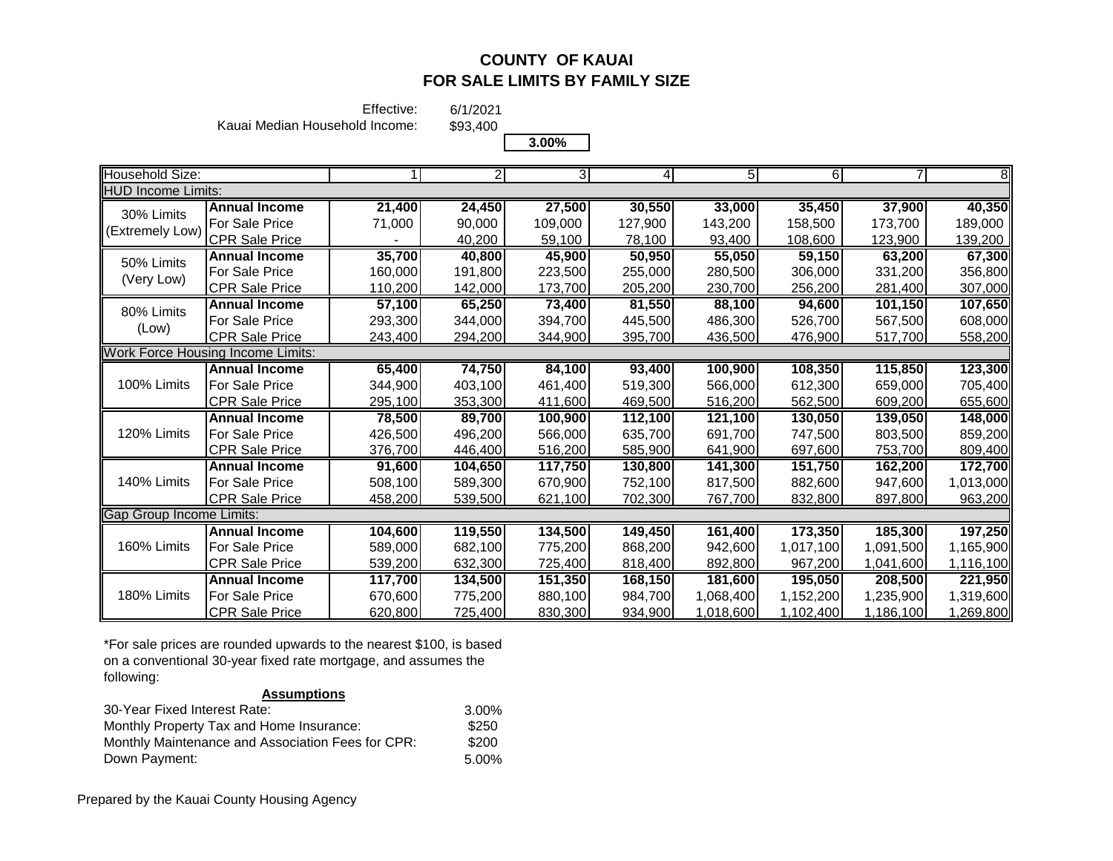**Annual Income 91,600 104,650 117,750 130,800 141,300 151,750 162,200 172,700** For Sale Price 508,100 589,300 670,900 752,100 817,500 882,600 947,600 1,013,000 CPR Sale Price 458,200 539,500 621,100 702,300 767,700 832,800 897,800 963,200

**Annual Income 104,600 119,550 134,500 149,450 161,400 173,350 185,300 197,250** For Sale Price 589,000 682,100 775,200 868,200 942,600 1,017,100 1,091,500 1,165,900 CPR Sale Price 539,200 632,300 725,400 818,400 892,800 967,200 1,041,600 1,116,100 **Annual Income 117,700 134,500 151,350 168,150 181,600 195,050 208,500 221,950** For Sale Price 670,600 775,200 880,100 984,700 1,068,400 1,152,200 1,235,900 1,319,600 CPR Sale Price | 620,800 725,400 830,300 934,900 1,018,600 1,102,400 1,186,100 1,269,800

Effective:

Kauai Median Household Income:

\$93,400 **3.00%**

6/1/2021

|                           |                                          |         |                | 3.0070  |         |         |         |         |         |
|---------------------------|------------------------------------------|---------|----------------|---------|---------|---------|---------|---------|---------|
| Household Size:           |                                          |         | $\overline{2}$ | 31      | 41      | 51      | 6       |         |         |
| <b>HUD Income Limits:</b> |                                          |         |                |         |         |         |         |         |         |
| 30% Limits                | <b>Annual Income</b>                     | 21,400  | 24,450         | 27,500  | 30,550  | 33,000  | 35,450  | 37,900  | 40,350  |
| (Extremely Low)           | For Sale Price                           | 71,000  | 90,000         | 109,000 | 127,900 | 143,200 | 158,500 | 173,700 | 189,000 |
|                           | CPR Sale Price                           |         | 40,200         | 59,100  | 78,100  | 93,400  | 108,600 | 123,900 | 139,200 |
| 50% Limits                | <b>Annual Income</b>                     | 35,700  | 40,800         | 45,900  | 50,950  | 55,050  | 59,150  | 63,200  | 67,300  |
| (Very Low)                | For Sale Price                           | 160,000 | 191,800        | 223,500 | 255,000 | 280,500 | 306,000 | 331,200 | 356,800 |
|                           | <b>CPR Sale Price</b>                    | 110,200 | 142,000        | 173,700 | 205,200 | 230,700 | 256,200 | 281,400 | 307,000 |
| 80% Limits                | <b>Annual Income</b>                     | 57,100  | 65,250         | 73,400  | 81,550  | 88,100  | 94,600  | 101,150 | 107,650 |
| (Low)                     | For Sale Price                           | 293,300 | 344,000        | 394,700 | 445,500 | 486,300 | 526,700 | 567,500 | 608,000 |
|                           | <b>CPR Sale Price</b>                    | 243,400 | 294,200        | 344,900 | 395,700 | 436,500 | 476,900 | 517,700 | 558,200 |
|                           | <b>Work Force Housing Income Limits:</b> |         |                |         |         |         |         |         |         |
|                           | <b>Annual Income</b>                     | 65,400  | 74,750         | 84,100  | 93,400  | 100,900 | 108,350 | 115,850 | 123,300 |
| 100% Limits               | For Sale Price                           | 344,900 | 403,100        | 461,400 | 519,300 | 566,000 | 612,300 | 659,000 | 705,400 |
|                           | ICPR Sale Price                          | 295,100 | 353,300        | 411,600 | 469,500 | 516,200 | 562,500 | 609,200 | 655,600 |
|                           | <b>Annual Income</b>                     | 78,500  | 89,700         | 100,900 | 112,100 | 121,100 | 130,050 | 139,050 | 148,000 |
| 120% Limits               | For Sale Price                           | 426,500 | 496,200        | 566,000 | 635,700 | 691,700 | 747,500 | 803,500 | 859,200 |
|                           | <b>CPR Sale Price</b>                    | 376,700 | 446,400        | 516,200 | 585,900 | 641,900 | 697,600 | 753,700 | 809,400 |

\*For sale prices are rounded upwards to the nearest \$100, is based on a conventional 30-year fixed rate mortgage, and assumes the following:

#### **Assumptions**

| 30-Year Fixed Interest Rate:                      | 3.00% |
|---------------------------------------------------|-------|
| Monthly Property Tax and Home Insurance:          | \$250 |
| Monthly Maintenance and Association Fees for CPR: | \$200 |
| Down Payment:                                     | 5.00% |

Gap Group Income Limits:

160% Limits

140% Limits

180% Limits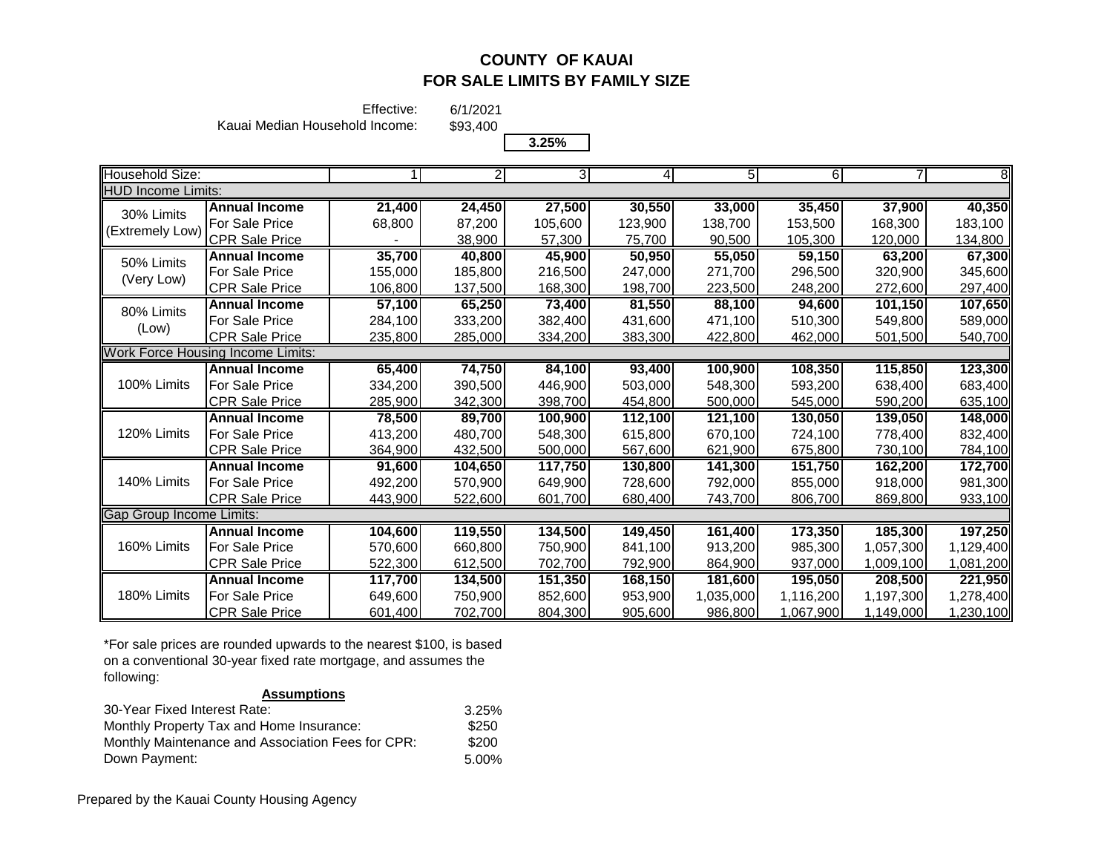Effective:

Kauai Median Household Income:

\$93,400 **3.25%**

6/1/2021

| $\sim$ | . .<br>Λ |
|--------|----------|
|        |          |
|        |          |

| Household Size:          |                                   |         | $\overline{2}$ | 3       | 4       | $5\overline{)}$ | $6 \mid$  |           | $\overline{8}$ |
|--------------------------|-----------------------------------|---------|----------------|---------|---------|-----------------|-----------|-----------|----------------|
| HUD Income Limits:       |                                   |         |                |         |         |                 |           |           |                |
| 30% Limits               | <b>Annual Income</b>              | 21,400  | 24,450         | 27,500  | 30,550  | 33,000          | 35,450    | 37,900    | 40,350         |
| (Extremely Low)          | For Sale Price                    | 68,800  | 87,200         | 105,600 | 123,900 | 138,700         | 153,500   | 168,300   | 183,100        |
|                          | <b>CPR Sale Price</b>             |         | 38,900         | 57,300  | 75,700  | 90,500          | 105,300   | 120,000   | 134,800        |
| 50% Limits               | <b>Annual Income</b>              | 35,700  | 40,800         | 45,900  | 50,950  | 55,050          | 59,150    | 63,200    | 67,300         |
| (Very Low)               | For Sale Price                    | 155,000 | 185,800        | 216,500 | 247,000 | 271,700         | 296,500   | 320,900   | 345,600        |
|                          | <b>CPR Sale Price</b>             | 106.800 | 137,500        | 168,300 | 198,700 | 223,500         | 248,200   | 272,600   | 297,400        |
| 80% Limits               | <b>Annual Income</b>              | 57,100  | 65,250         | 73,400  | 81,550  | 88,100          | 94,600    | 101,150   | 107,650        |
|                          | For Sale Price                    | 284,100 | 333,200        | 382,400 | 431,600 | 471,100         | 510,300   | 549,800   | 589,000        |
| (Low)                    | <b>CPR Sale Price</b>             | 235,800 | 285,000        | 334,200 | 383,300 | 422,800         | 462,000   | 501,500   | 540,700        |
|                          | Work Force Housing Income Limits: |         |                |         |         |                 |           |           |                |
|                          | <b>Annual Income</b>              | 65,400  | 74,750         | 84,100  | 93,400  | 100,900         | 108,350   | 115,850   | 123,300        |
| 100% Limits              | For Sale Price                    | 334,200 | 390,500        | 446,900 | 503,000 | 548,300         | 593,200   | 638,400   | 683,400        |
|                          | <b>CPR Sale Price</b>             | 285,900 | 342,300        | 398,700 | 454,800 | 500,000         | 545,000   | 590,200   | 635,100        |
|                          | <b>Annual Income</b>              | 78,500  | 89,700         | 100,900 | 112,100 | 121,100         | 130,050   | 139,050   | 148,000        |
| 120% Limits              | For Sale Price                    | 413,200 | 480,700        | 548,300 | 615,800 | 670.100         | 724,100   | 778,400   | 832,400        |
|                          | <b>CPR Sale Price</b>             | 364,900 | 432,500        | 500,000 | 567,600 | 621,900         | 675,800   | 730,100   | 784,100        |
|                          | <b>Annual Income</b>              | 91,600  | 104,650        | 117,750 | 130,800 | 141,300         | 151,750   | 162,200   | 172,700        |
| 140% Limits              | For Sale Price                    | 492,200 | 570,900        | 649.900 | 728,600 | 792.000         | 855,000   | 918,000   | 981,300        |
|                          | CPR Sale Price                    | 443,900 | 522,600        | 601,700 | 680,400 | 743,700         | 806,700   | 869,800   | 933,100        |
| Gap Group Income Limits: |                                   |         |                |         |         |                 |           |           |                |
|                          | <b>Annual Income</b>              | 104,600 | 119,550        | 134,500 | 149,450 | 161,400         | 173,350   | 185,300   | 197,250        |
| 160% Limits              | For Sale Price                    | 570,600 | 660,800        | 750,900 | 841,100 | 913,200         | 985,300   | 1,057,300 | 1,129,400      |
|                          | <b>CPR Sale Price</b>             | 522,300 | 612,500        | 702,700 | 792,900 | 864,900         | 937,000   | 1,009,100 | 1,081,200      |
|                          | <b>Annual Income</b>              | 117,700 | 134,500        | 151,350 | 168,150 | 181,600         | 195,050   | 208,500   | 221,950        |
| 180% Limits              | <b>For Sale Price</b>             | 649,600 | 750,900        | 852,600 | 953,900 | 1,035,000       | 1,116,200 | 1,197,300 | 1,278,400      |
|                          | <b>CPR Sale Price</b>             | 601,400 | 702,700        | 804,300 | 905,600 | 986,800         | 1,067,900 | 1,149,000 | 1,230,100      |

\*For sale prices are rounded upwards to the nearest \$100, is based on a conventional 30-year fixed rate mortgage, and assumes the following:

### **Assumptions**

| 30-Year Fixed Interest Rate:                      | 3.25% |
|---------------------------------------------------|-------|
| Monthly Property Tax and Home Insurance:          | \$250 |
| Monthly Maintenance and Association Fees for CPR: | \$200 |
| Down Payment:                                     | 5.00% |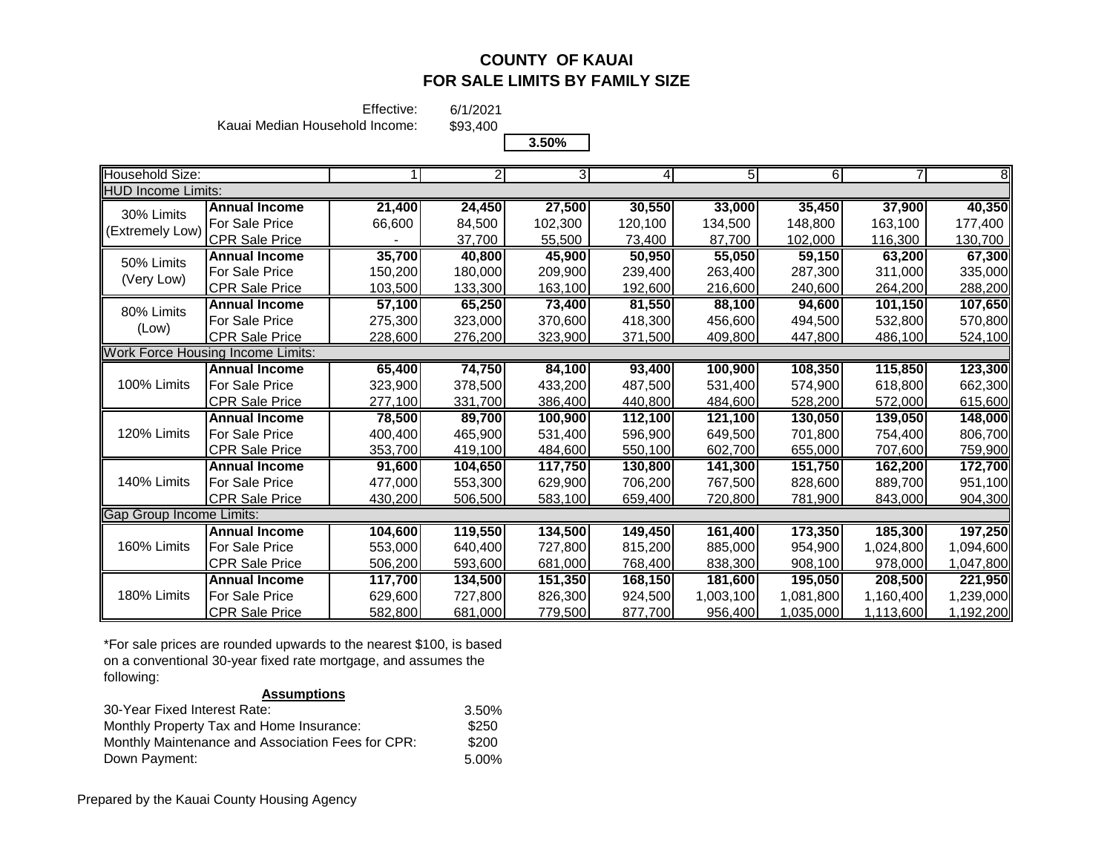Effective:

Kauai Median Household Income:

\$93,400

6/1/2021

|                           |                                          |         |                | 3.50%   |         |         |         |           |           |
|---------------------------|------------------------------------------|---------|----------------|---------|---------|---------|---------|-----------|-----------|
| Household Size:           |                                          |         | $\overline{2}$ | 3I      | 41      | 51      | 6       |           | 81        |
| <b>HUD Income Limits:</b> |                                          |         |                |         |         |         |         |           |           |
| 30% Limits                | <b>Annual Income</b>                     | 21,400  | 24,450         | 27,500  | 30,550  | 33,000  | 35,450  | 37,900    | 40,350    |
| (Extremely Low)           | For Sale Price                           | 66,600  | 84,500         | 102,300 | 120,100 | 134,500 | 148,800 | 163,100   | 177,400   |
|                           | CPR Sale Price                           |         | 37,700         | 55,500  | 73,400  | 87,700  | 102,000 | 116,300   | 130,700   |
| 50% Limits                | <b>Annual Income</b>                     | 35,700  | 40,800         | 45,900  | 50,950  | 55,050  | 59,150  | 63,200    | 67,300    |
| (Very Low)                | For Sale Price                           | 150,200 | 180,000        | 209,900 | 239,400 | 263,400 | 287,300 | 311,000   | 335,000   |
|                           | <b>CPR Sale Price</b>                    | 103,500 | 133,300        | 163,100 | 192,600 | 216,600 | 240,600 | 264,200   | 288,200   |
| 80% Limits                | <b>Annual Income</b>                     | 57,100  | 65,250         | 73,400  | 81,550  | 88,100  | 94,600  | 101,150   | 107,650   |
| (Low)                     | <b>For Sale Price</b>                    | 275,300 | 323,000        | 370,600 | 418,300 | 456,600 | 494,500 | 532,800   | 570,800   |
|                           | <b>CPR Sale Price</b>                    | 228,600 | 276,200        | 323,900 | 371,500 | 409,800 | 447,800 | 486,100   | 524,100   |
|                           | <b>Work Force Housing Income Limits:</b> |         |                |         |         |         |         |           |           |
|                           | <b>Annual Income</b>                     | 65,400  | 74,750         | 84,100  | 93,400  | 100,900 | 108,350 | 115,850   | 123,300   |
| 100% Limits               | For Sale Price                           | 323,900 | 378,500        | 433,200 | 487,500 | 531,400 | 574,900 | 618,800   | 662,300   |
|                           | <b>CPR Sale Price</b>                    | 277,100 | 331,700        | 386,400 | 440,800 | 484,600 | 528,200 | 572,000   | 615,600   |
|                           | <b>Annual Income</b>                     | 78,500  | 89,700         | 100,900 | 112,100 | 121,100 | 130,050 | 139,050   | 148,000   |
| 120% Limits               | <b>For Sale Price</b>                    | 400,400 | 465,900        | 531,400 | 596,900 | 649,500 | 701,800 | 754,400   | 806,700   |
|                           | <b>CPR Sale Price</b>                    | 353,700 | 419,100        | 484,600 | 550,100 | 602,700 | 655,000 | 707,600   | 759,900   |
|                           | <b>Annual Income</b>                     | 91,600  | 104,650        | 117,750 | 130,800 | 141,300 | 151,750 | 162,200   | 172,700   |
| 140% Limits               | <b>For Sale Price</b>                    | 477,000 | 553,300        | 629,900 | 706,200 | 767,500 | 828,600 | 889,700   | 951,100   |
|                           | CPR Sale Price                           | 430.200 | 506,500        | 583,100 | 659,400 | 720,800 | 781,900 | 843,000   | 904,300   |
| Gap Group Income Limits:  |                                          |         |                |         |         |         |         |           |           |
|                           | <b>Annual Income</b>                     | 104,600 | 119,550        | 134,500 | 149,450 | 161,400 | 173,350 | 185,300   | 197,250   |
| 160% Limits               | <b>For Sale Price</b>                    | 553,000 | 640,400        | 727,800 | 815,200 | 885,000 | 954,900 | 1,024,800 | 1,094,600 |
|                           | <b>CPR Sale Price</b>                    | 506,200 | 593,600        | 681,000 | 768,400 | 838,300 | 908,100 | 978,000   | 1,047,800 |
|                           | <b>Annual Income</b>                     | 117,700 | 134,500        | 151,350 | 168,150 | 181,600 | 195,050 | 208,500   | 221,950   |

For Sale Price 629,600 727,800 826,300 924,500 1,003,100 1,081,800 1,160,400 1,239,000 CPR Sale Price 582,800 681,000 779,500 877,700 956,400 1,035,000 1,113,600 1,192,200

\*For sale prices are rounded upwards to the nearest \$100, is based on a conventional 30-year fixed rate mortgage, and assumes the following:

#### **Assumptions**

| 30-Year Fixed Interest Rate:                      | 3.50% |
|---------------------------------------------------|-------|
| Monthly Property Tax and Home Insurance:          | \$250 |
| Monthly Maintenance and Association Fees for CPR: | \$200 |
| Down Payment:                                     | 5.00% |

Prepared by the Kauai County Housing Agency

180% Limits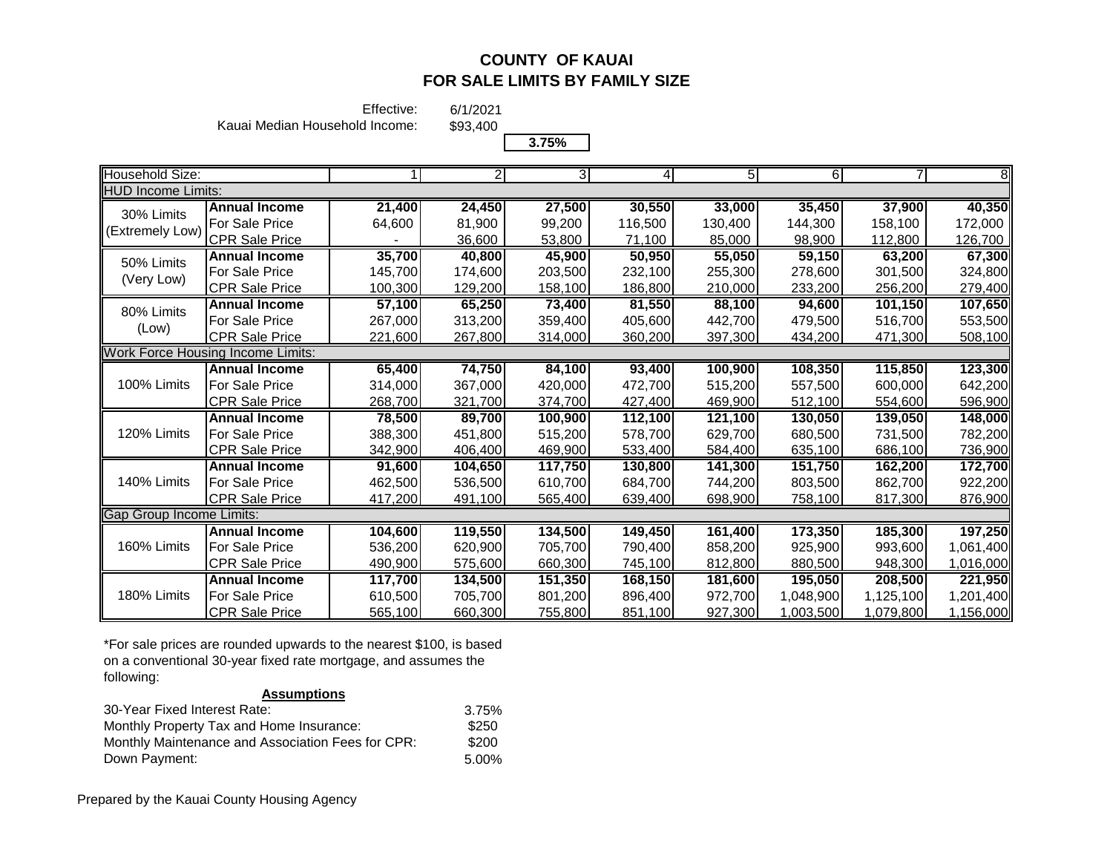Effective:

Kauai Median Household Income:

\$93,400

6/1/2021

| з |  |
|---|--|
|   |  |

| Household Size:                 |                                          |         |         | 3       | 4       | 5 <sub>l</sub> | 6         |           | $\overline{8}$ |
|---------------------------------|------------------------------------------|---------|---------|---------|---------|----------------|-----------|-----------|----------------|
| <b>HUD Income Limits:</b>       |                                          |         |         |         |         |                |           |           |                |
| 30% Limits                      | <b>Annual Income</b>                     | 21,400  | 24,450  | 27,500  | 30,550  | 33,000         | 35,450    | 37,900    | 40,350         |
|                                 | For Sale Price                           | 64,600  | 81,900  | 99,200  | 116,500 | 130,400        | 144,300   | 158,100   | 172,000        |
| (Extremely Low)                 | <b>CPR Sale Price</b>                    |         | 36,600  | 53,800  | 71,100  | 85,000         | 98,900    | 112,800   | 126,700        |
| 50% Limits                      | <b>Annual Income</b>                     | 35,700  | 40,800  | 45,900  | 50,950  | 55,050         | 59,150    | 63,200    | 67,300         |
|                                 | For Sale Price                           | 145.700 | 174,600 | 203,500 | 232,100 | 255,300        | 278,600   | 301,500   | 324,800        |
| (Very Low)                      | <b>CPR Sale Price</b>                    | 100,300 | 129,200 | 158,100 | 186,800 | 210,000        | 233,200   | 256,200   | 279,400        |
| 80% Limits                      | <b>Annual Income</b>                     | 57,100  | 65,250  | 73,400  | 81,550  | 88,100         | 94,600    | 101,150   | 107,650        |
|                                 | For Sale Price                           | 267,000 | 313,200 | 359,400 | 405,600 | 442,700        | 479,500   | 516,700   | 553,500        |
| (Low)                           | <b>CPR Sale Price</b>                    | 221,600 | 267,800 | 314,000 | 360,200 | 397,300        | 434,200   | 471,300   | 508,100        |
|                                 | <b>Work Force Housing Income Limits:</b> |         |         |         |         |                |           |           |                |
|                                 | <b>Annual Income</b>                     | 65,400  | 74,750  | 84,100  | 93,400  | 100,900        | 108,350   | 115,850   | 123,300        |
| 100% Limits                     | For Sale Price                           | 314,000 | 367,000 | 420,000 | 472,700 | 515,200        | 557,500   | 600,000   | 642,200        |
|                                 | <b>CPR Sale Price</b>                    | 268,700 | 321,700 | 374,700 | 427,400 | 469,900        | 512,100   | 554,600   | 596,900        |
|                                 | <b>Annual Income</b>                     | 78,500  | 89,700  | 100,900 | 112,100 | 121,100        | 130,050   | 139,050   | 148,000        |
| 120% Limits                     | <b>For Sale Price</b>                    | 388,300 | 451,800 | 515,200 | 578,700 | 629,700        | 680,500   | 731,500   | 782,200        |
|                                 | <b>CPR Sale Price</b>                    | 342,900 | 406,400 | 469,900 | 533,400 | 584,400        | 635,100   | 686,100   | 736,900        |
|                                 | <b>Annual Income</b>                     | 91,600  | 104,650 | 117,750 | 130,800 | 141,300        | 151,750   | 162,200   | 172,700        |
| 140% Limits                     | For Sale Price                           | 462,500 | 536,500 | 610,700 | 684,700 | 744,200        | 803,500   | 862,700   | 922,200        |
|                                 | <b>CPR Sale Price</b>                    | 417,200 | 491,100 | 565,400 | 639,400 | 698,900        | 758,100   | 817,300   | 876,900        |
| <b>Gap Group Income Limits:</b> |                                          |         |         |         |         |                |           |           |                |
|                                 | <b>Annual Income</b>                     | 104,600 | 119,550 | 134,500 | 149,450 | 161,400        | 173,350   | 185,300   | 197,250        |
| 160% Limits                     | <b>For Sale Price</b>                    | 536,200 | 620,900 | 705,700 | 790,400 | 858,200        | 925,900   | 993,600   | 1,061,400      |
|                                 | <b>CPR Sale Price</b>                    | 490,900 | 575,600 | 660,300 | 745,100 | 812,800        | 880,500   | 948,300   | 1,016,000      |
|                                 | <b>Annual Income</b>                     | 117,700 | 134,500 | 151,350 | 168,150 | 181,600        | 195,050   | 208,500   | 221,950        |
| 180% Limits                     | <b>For Sale Price</b>                    | 610,500 | 705,700 | 801,200 | 896,400 | 972,700        | 1,048,900 | 1,125,100 | 1,201,400      |
|                                 | <b>CPR Sale Price</b>                    | 565,100 | 660,300 | 755,800 | 851,100 | 927,300        | 1,003,500 | 1,079,800 | 1,156,000      |

\*For sale prices are rounded upwards to the nearest \$100, is based on a conventional 30-year fixed rate mortgage, and assumes the following:

### **Assumptions**

| 30-Year Fixed Interest Rate:                      | 3.75% |
|---------------------------------------------------|-------|
| Monthly Property Tax and Home Insurance:          | \$250 |
| Monthly Maintenance and Association Fees for CPR: | \$200 |
| Down Payment:                                     | 5.00% |